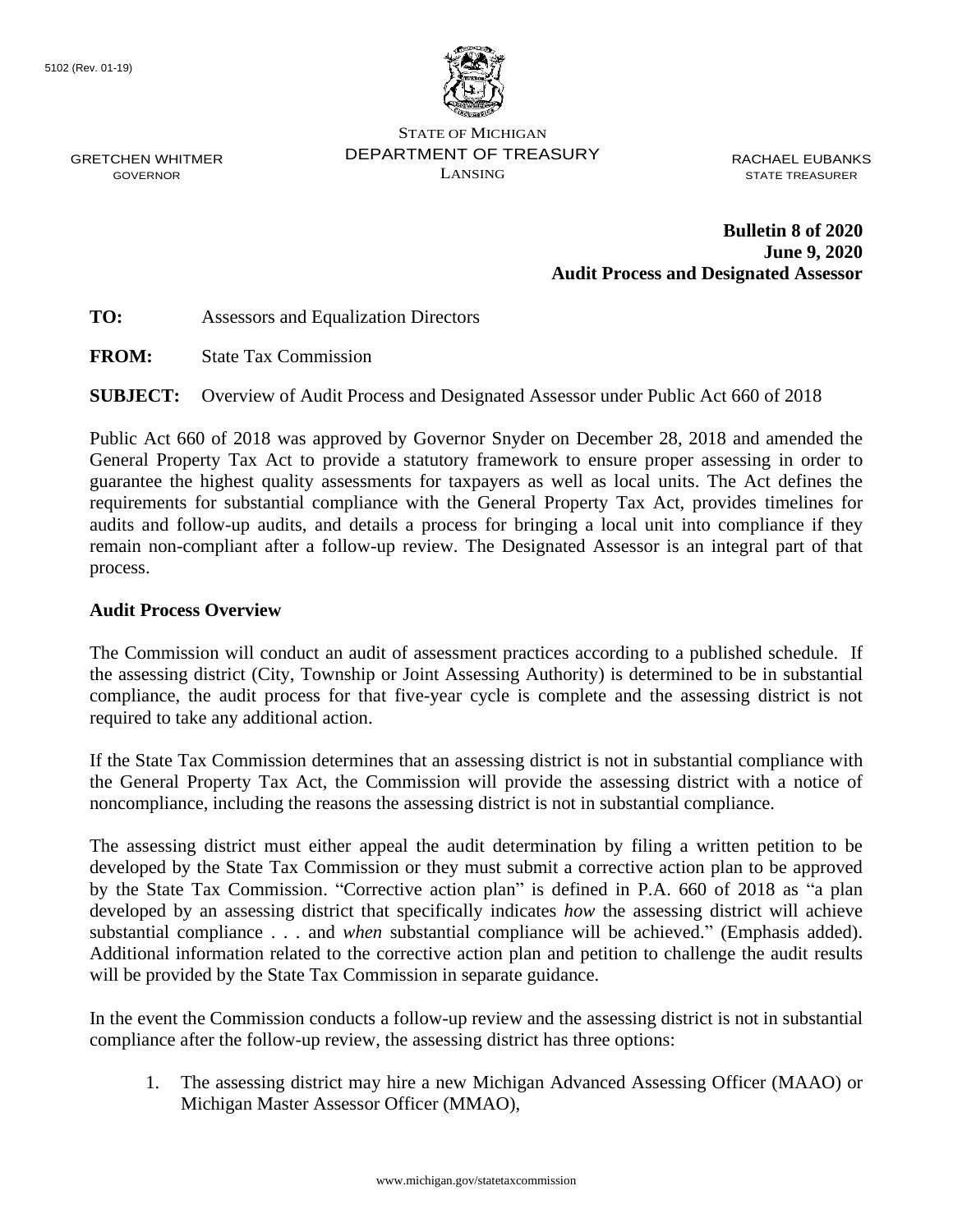

STATE OF MICHIGAN DEPARTMENT OF TREASURY LANSING

RACHAEL EUBANKS STATE TREASURER

**Bulletin 8 of 2020 June 9, 2020 Audit Process and Designated Assessor**

GRETCHEN WHITMER GOVERNOR

**TO:** Assessors and Equalization Directors

**FROM:** State Tax Commission

**SUBJECT:** Overview of Audit Process and Designated Assessor under Public Act 660 of 2018

Public Act 660 of 2018 was approved by Governor Snyder on December 28, 2018 and amended the General Property Tax Act to provide a statutory framework to ensure proper assessing in order to guarantee the highest quality assessments for taxpayers as well as local units. The Act defines the requirements for substantial compliance with the General Property Tax Act, provides timelines for audits and follow-up audits, and details a process for bringing a local unit into compliance if they remain non-compliant after a follow-up review. The Designated Assessor is an integral part of that process.

#### **Audit Process Overview**

The Commission will conduct an audit of assessment practices according to a published schedule. If the assessing district (City, Township or Joint Assessing Authority) is determined to be in substantial compliance, the audit process for that five-year cycle is complete and the assessing district is not required to take any additional action.

If the State Tax Commission determines that an assessing district is not in substantial compliance with the General Property Tax Act, the Commission will provide the assessing district with a notice of noncompliance, including the reasons the assessing district is not in substantial compliance.

The assessing district must either appeal the audit determination by filing a written petition to be developed by the State Tax Commission or they must submit a corrective action plan to be approved by the State Tax Commission. "Corrective action plan" is defined in P.A. 660 of 2018 as "a plan developed by an assessing district that specifically indicates *how* the assessing district will achieve substantial compliance . . . and *when* substantial compliance will be achieved." (Emphasis added). Additional information related to the corrective action plan and petition to challenge the audit results will be provided by the State Tax Commission in separate guidance.

In the event the Commission conducts a follow-up review and the assessing district is not in substantial compliance after the follow-up review, the assessing district has three options:

1. The assessing district may hire a new Michigan Advanced Assessing Officer (MAAO) or Michigan Master Assessor Officer (MMAO),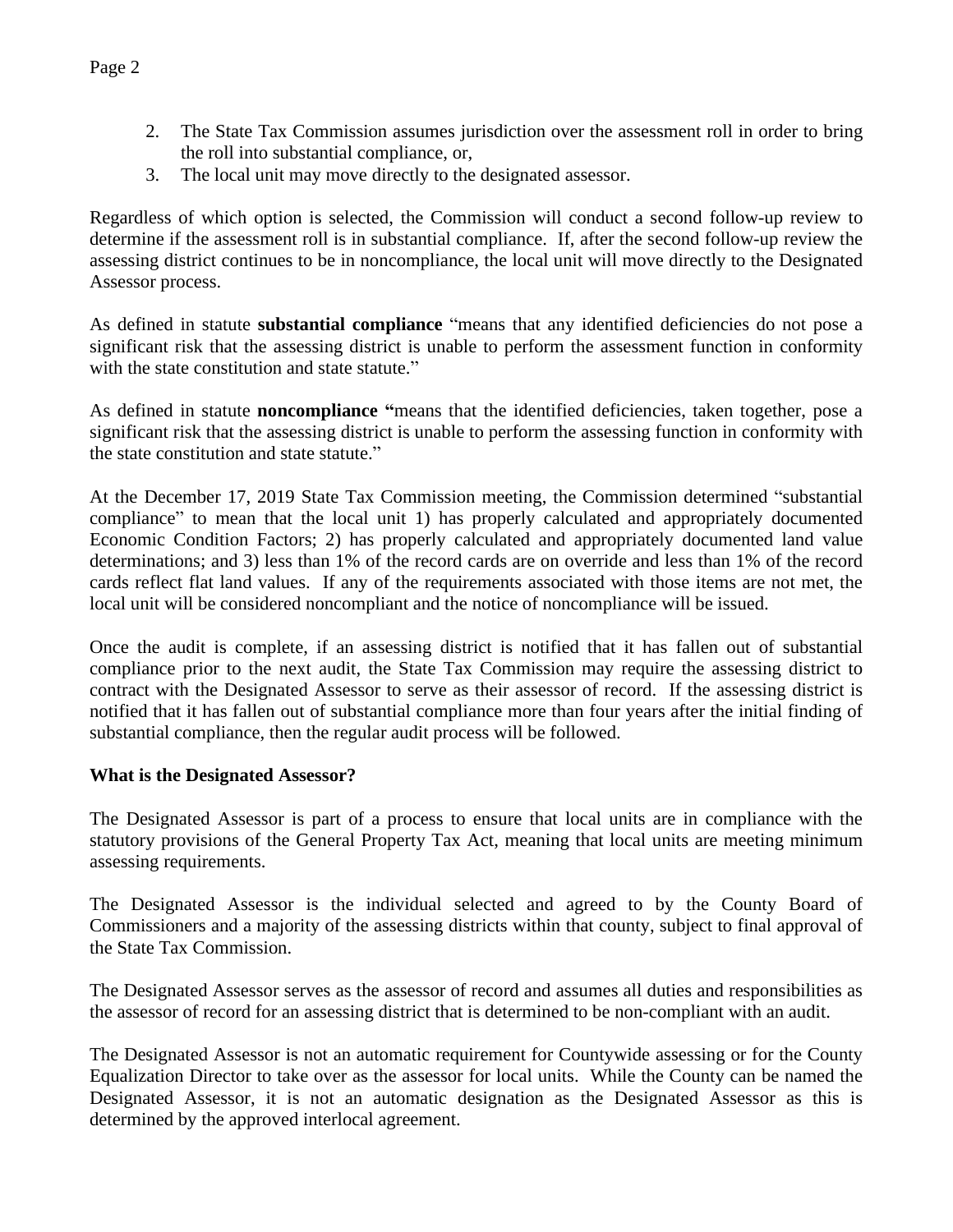- 2. The State Tax Commission assumes jurisdiction over the assessment roll in order to bring the roll into substantial compliance, or,
- 3. The local unit may move directly to the designated assessor.

Regardless of which option is selected, the Commission will conduct a second follow-up review to determine if the assessment roll is in substantial compliance. If, after the second follow-up review the assessing district continues to be in noncompliance, the local unit will move directly to the Designated Assessor process.

As defined in statute **substantial compliance** "means that any identified deficiencies do not pose a significant risk that the assessing district is unable to perform the assessment function in conformity with the state constitution and state statute."

As defined in statute **noncompliance "**means that the identified deficiencies, taken together, pose a significant risk that the assessing district is unable to perform the assessing function in conformity with the state constitution and state statute."

At the December 17, 2019 State Tax Commission meeting, the Commission determined "substantial compliance" to mean that the local unit 1) has properly calculated and appropriately documented Economic Condition Factors; 2) has properly calculated and appropriately documented land value determinations; and 3) less than 1% of the record cards are on override and less than 1% of the record cards reflect flat land values. If any of the requirements associated with those items are not met, the local unit will be considered noncompliant and the notice of noncompliance will be issued.

Once the audit is complete, if an assessing district is notified that it has fallen out of substantial compliance prior to the next audit, the State Tax Commission may require the assessing district to contract with the Designated Assessor to serve as their assessor of record. If the assessing district is notified that it has fallen out of substantial compliance more than four years after the initial finding of substantial compliance, then the regular audit process will be followed.

# **What is the Designated Assessor?**

The Designated Assessor is part of a process to ensure that local units are in compliance with the statutory provisions of the General Property Tax Act, meaning that local units are meeting minimum assessing requirements.

The Designated Assessor is the individual selected and agreed to by the County Board of Commissioners and a majority of the assessing districts within that county, subject to final approval of the State Tax Commission.

The Designated Assessor serves as the assessor of record and assumes all duties and responsibilities as the assessor of record for an assessing district that is determined to be non-compliant with an audit.

The Designated Assessor is not an automatic requirement for Countywide assessing or for the County Equalization Director to take over as the assessor for local units. While the County can be named the Designated Assessor, it is not an automatic designation as the Designated Assessor as this is determined by the approved interlocal agreement.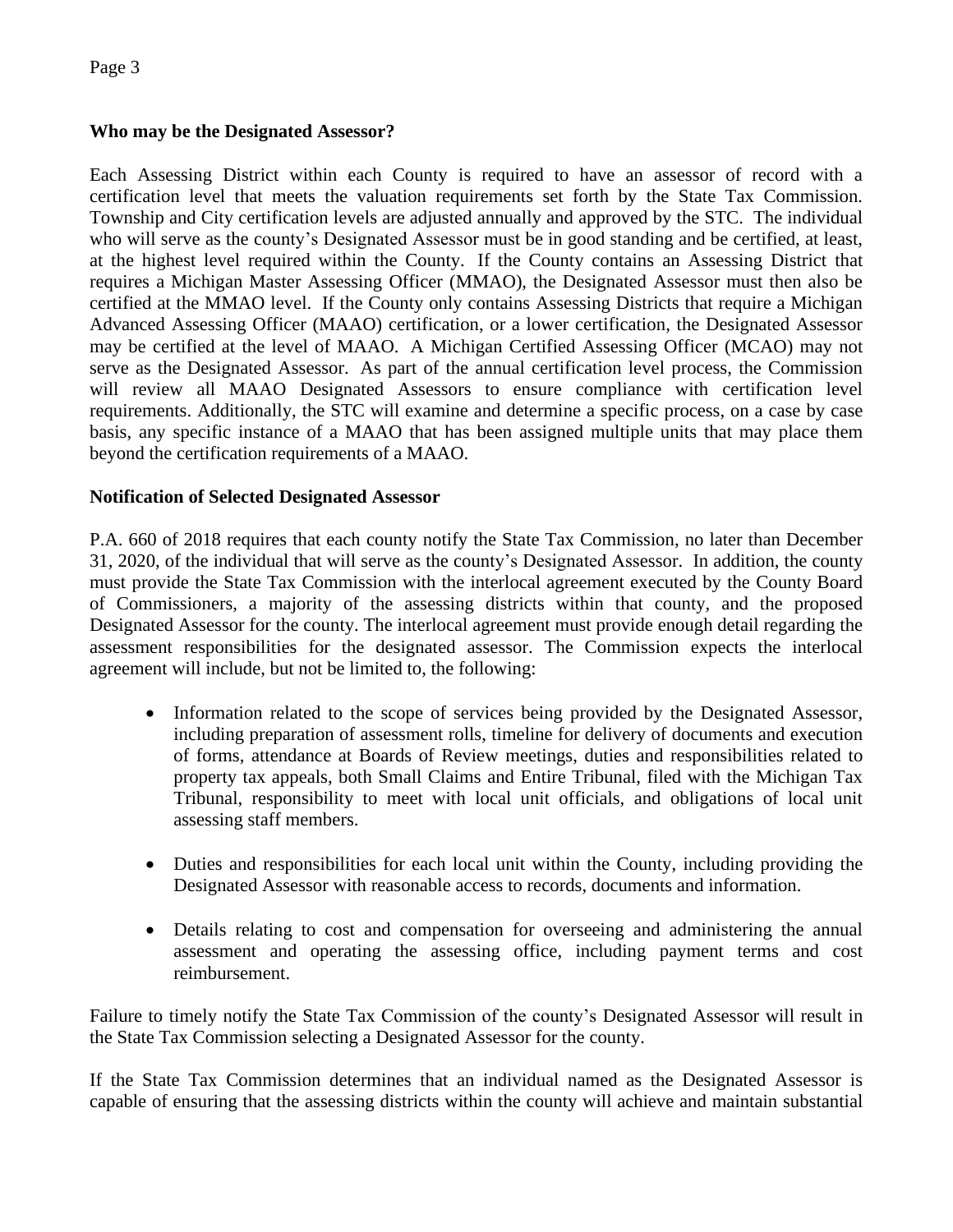# **Who may be the Designated Assessor?**

Each Assessing District within each County is required to have an assessor of record with a certification level that meets the valuation requirements set forth by the State Tax Commission. Township and City certification levels are adjusted annually and approved by the STC. The individual who will serve as the county's Designated Assessor must be in good standing and be certified, at least, at the highest level required within the County. If the County contains an Assessing District that requires a Michigan Master Assessing Officer (MMAO), the Designated Assessor must then also be certified at the MMAO level. If the County only contains Assessing Districts that require a Michigan Advanced Assessing Officer (MAAO) certification, or a lower certification, the Designated Assessor may be certified at the level of MAAO. A Michigan Certified Assessing Officer (MCAO) may not serve as the Designated Assessor. As part of the annual certification level process, the Commission will review all MAAO Designated Assessors to ensure compliance with certification level requirements. Additionally, the STC will examine and determine a specific process, on a case by case basis, any specific instance of a MAAO that has been assigned multiple units that may place them beyond the certification requirements of a MAAO.

# **Notification of Selected Designated Assessor**

P.A. 660 of 2018 requires that each county notify the State Tax Commission, no later than December 31, 2020, of the individual that will serve as the county's Designated Assessor. In addition, the county must provide the State Tax Commission with the interlocal agreement executed by the County Board of Commissioners, a majority of the assessing districts within that county, and the proposed Designated Assessor for the county. The interlocal agreement must provide enough detail regarding the assessment responsibilities for the designated assessor. The Commission expects the interlocal agreement will include, but not be limited to, the following:

- Information related to the scope of services being provided by the Designated Assessor, including preparation of assessment rolls, timeline for delivery of documents and execution of forms, attendance at Boards of Review meetings, duties and responsibilities related to property tax appeals, both Small Claims and Entire Tribunal, filed with the Michigan Tax Tribunal, responsibility to meet with local unit officials, and obligations of local unit assessing staff members.
- Duties and responsibilities for each local unit within the County, including providing the Designated Assessor with reasonable access to records, documents and information.
- Details relating to cost and compensation for overseeing and administering the annual assessment and operating the assessing office, including payment terms and cost reimbursement.

Failure to timely notify the State Tax Commission of the county's Designated Assessor will result in the State Tax Commission selecting a Designated Assessor for the county.

If the State Tax Commission determines that an individual named as the Designated Assessor is capable of ensuring that the assessing districts within the county will achieve and maintain substantial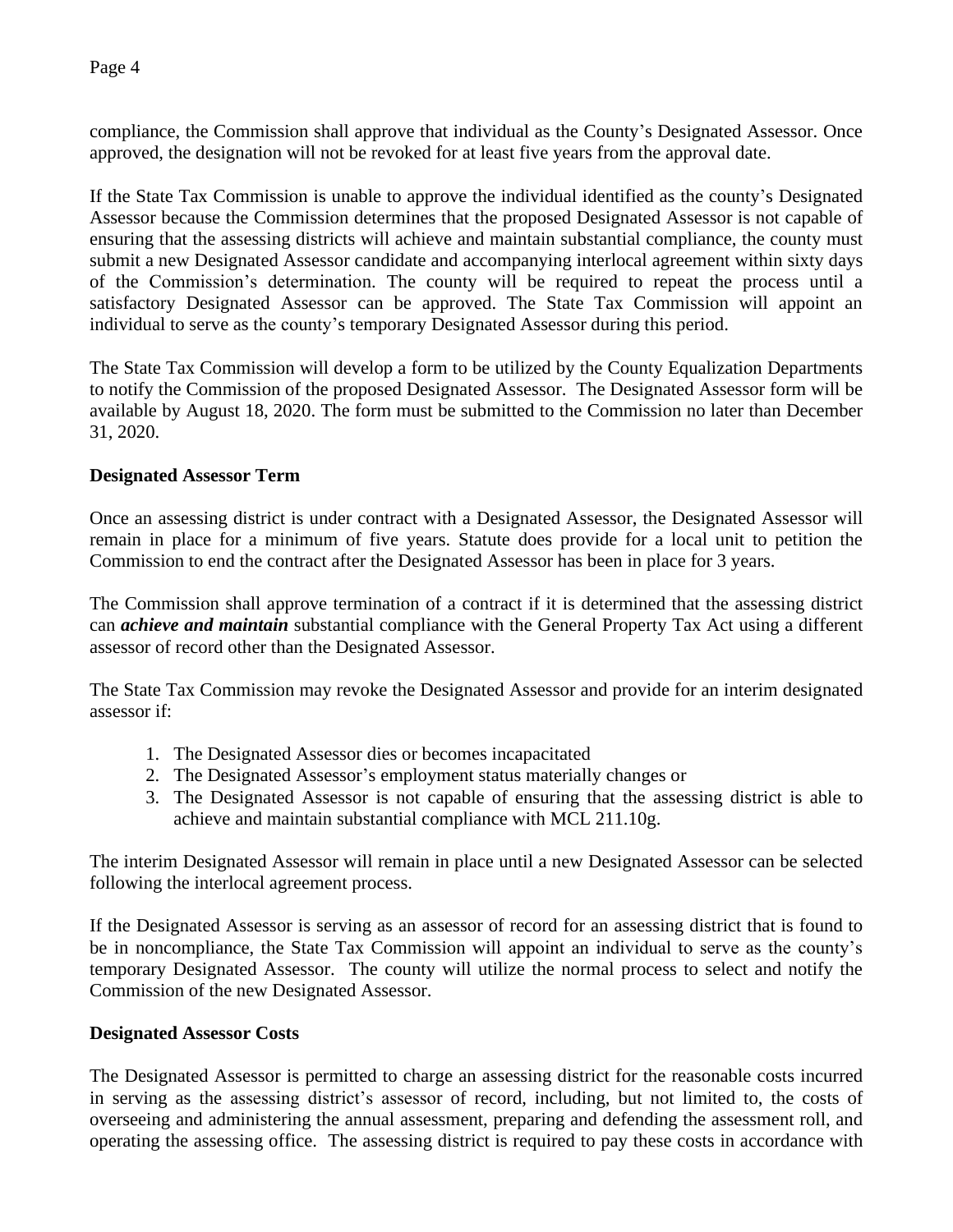Page 4

compliance, the Commission shall approve that individual as the County's Designated Assessor. Once approved, the designation will not be revoked for at least five years from the approval date.

If the State Tax Commission is unable to approve the individual identified as the county's Designated Assessor because the Commission determines that the proposed Designated Assessor is not capable of ensuring that the assessing districts will achieve and maintain substantial compliance, the county must submit a new Designated Assessor candidate and accompanying interlocal agreement within sixty days of the Commission's determination. The county will be required to repeat the process until a satisfactory Designated Assessor can be approved. The State Tax Commission will appoint an individual to serve as the county's temporary Designated Assessor during this period.

The State Tax Commission will develop a form to be utilized by the County Equalization Departments to notify the Commission of the proposed Designated Assessor. The Designated Assessor form will be available by August 18, 2020. The form must be submitted to the Commission no later than December 31, 2020.

# **Designated Assessor Term**

Once an assessing district is under contract with a Designated Assessor, the Designated Assessor will remain in place for a minimum of five years. Statute does provide for a local unit to petition the Commission to end the contract after the Designated Assessor has been in place for 3 years.

The Commission shall approve termination of a contract if it is determined that the assessing district can *achieve and maintain* substantial compliance with the General Property Tax Act using a different assessor of record other than the Designated Assessor.

The State Tax Commission may revoke the Designated Assessor and provide for an interim designated assessor if:

- 1. The Designated Assessor dies or becomes incapacitated
- 2. The Designated Assessor's employment status materially changes or
- 3. The Designated Assessor is not capable of ensuring that the assessing district is able to achieve and maintain substantial compliance with MCL 211.10g.

The interim Designated Assessor will remain in place until a new Designated Assessor can be selected following the interlocal agreement process.

If the Designated Assessor is serving as an assessor of record for an assessing district that is found to be in noncompliance, the State Tax Commission will appoint an individual to serve as the county's temporary Designated Assessor. The county will utilize the normal process to select and notify the Commission of the new Designated Assessor.

#### **Designated Assessor Costs**

The Designated Assessor is permitted to charge an assessing district for the reasonable costs incurred in serving as the assessing district's assessor of record, including, but not limited to, the costs of overseeing and administering the annual assessment, preparing and defending the assessment roll, and operating the assessing office. The assessing district is required to pay these costs in accordance with